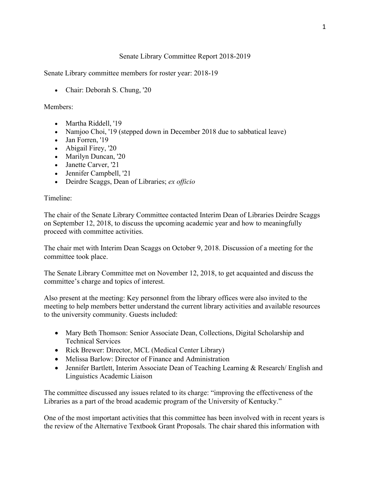## Senate Library Committee Report 2018-2019

Senate Library committee members for roster year: 2018-19

• Chair: Deborah S. Chung, '20

## Members:

- Martha Riddell, '19
- Namjoo Choi, '19 (stepped down in December 2018 due to sabbatical leave)
- Jan Forren, '19
- Abigail Firey, '20
- Marilyn Duncan, '20
- Janette Carver, '21
- Jennifer Campbell, '21
- Deirdre Scaggs, Dean of Libraries; *ex officio*

## Timeline:

The chair of the Senate Library Committee contacted Interim Dean of Libraries Deirdre Scaggs on September 12, 2018, to discuss the upcoming academic year and how to meaningfully proceed with committee activities.

The chair met with Interim Dean Scaggs on October 9, 2018. Discussion of a meeting for the committee took place.

The Senate Library Committee met on November 12, 2018, to get acquainted and discuss the committee's charge and topics of interest.

Also present at the meeting: Key personnel from the library offices were also invited to the meeting to help members better understand the current library activities and available resources to the university community. Guests included:

- Mary Beth Thomson: Senior Associate Dean, Collections, Digital Scholarship and Technical Services
- Rick Brewer: Director, MCL (Medical Center Library)
- Melissa Barlow: Director of Finance and Administration
- Jennifer Bartlett, Interim Associate Dean of Teaching Learning & Research/ English and Linguistics Academic Liaison

The committee discussed any issues related to its charge: "improving the effectiveness of the Libraries as a part of the broad academic program of the University of Kentucky."

One of the most important activities that this committee has been involved with in recent years is the review of the Alternative Textbook Grant Proposals. The chair shared this information with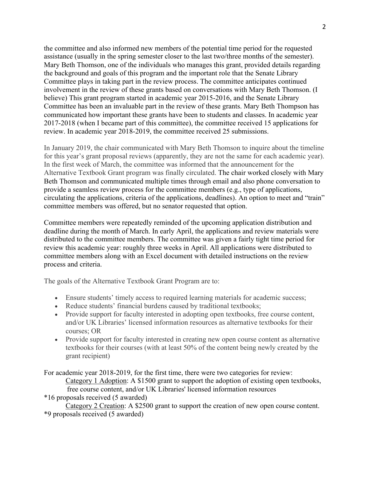the committee and also informed new members of the potential time period for the requested assistance (usually in the spring semester closer to the last two/three months of the semester). Mary Beth Thomson, one of the individuals who manages this grant, provided details regarding the background and goals of this program and the important role that the Senate Library Committee plays in taking part in the review process. The committee anticipates continued involvement in the review of these grants based on conversations with Mary Beth Thomson. (I believe) This grant program started in academic year 2015-2016, and the Senate Library Committee has been an invaluable part in the review of these grants. Mary Beth Thompson has communicated how important these grants have been to students and classes. In academic year 2017-2018 (when I became part of this committee), the committee received 15 applications for review. In academic year 2018-2019, the committee received 25 submissions.

In January 2019, the chair communicated with Mary Beth Thomson to inquire about the timeline for this year's grant proposal reviews (apparently, they are not the same for each academic year). In the first week of March, the committee was informed that the announcement for the Alternative Textbook Grant program was finally circulated. The chair worked closely with Mary Beth Thomson and communicated multiple times through email and also phone conversation to provide a seamless review process for the committee members (e.g., type of applications, circulating the applications, criteria of the applications, deadlines). An option to meet and "train" committee members was offered, but no senator requested that option.

Committee members were repeatedly reminded of the upcoming application distribution and deadline during the month of March. In early April, the applications and review materials were distributed to the committee members. The committee was given a fairly tight time period for review this academic year: roughly three weeks in April. All applications were distributed to committee members along with an Excel document with detailed instructions on the review process and criteria.

The goals of the Alternative Textbook Grant Program are to:

- Ensure students' timely access to required learning materials for academic success;
- Reduce students' financial burdens caused by traditional textbooks;
- Provide support for faculty interested in adopting open textbooks, free course content, and/or UK Libraries' licensed information resources as alternative textbooks for their courses; OR
- Provide support for faculty interested in creating new open course content as alternative textbooks for their courses (with at least 50% of the content being newly created by the grant recipient)

For academic year 2018-2019, for the first time, there were two categories for review: Category 1 Adoption: A \$1500 grant to support the adoption of existing open textbooks, free course content, and/or UK Libraries' licensed information resources

\*16 proposals received (5 awarded)

Category 2 Creation: A \$2500 grant to support the creation of new open course content. \*9 proposals received (5 awarded)